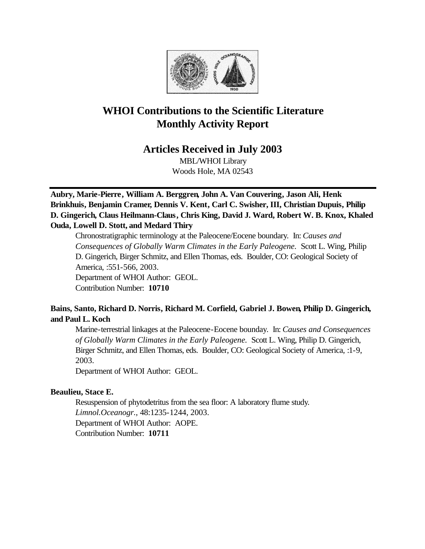

# **WHOI Contributions to the Scientific Literature Monthly Activity Report**

## **Articles Received in July 2003**

MBL/WHOI Library Woods Hole, MA 02543

**Aubry, Marie-Pierre, William A. Berggren, John A. Van Couvering, Jason Ali, Henk Brinkhuis, Benjamin Cramer, Dennis V. Kent, Carl C. Swisher, III, Christian Dupuis, Philip D. Gingerich, Claus Heilmann-Claus, Chris King, David J. Ward, Robert W. B. Knox, Khaled Ouda, Lowell D. Stott, and Medard Thiry**

Chronostratigraphic terminology at the Paleocene/Eocene boundary. In: *Causes and Consequences of Globally Warm Climates in the Early Paleogene.* Scott L. Wing, Philip D. Gingerich, Birger Schmitz, and Ellen Thomas, eds. Boulder, CO: Geological Society of America, :551-566, 2003. Department of WHOI Author: GEOL. Contribution Number: **10710**

## **Bains, Santo, Richard D. Norris, Richard M. Corfield, Gabriel J. Bowen, Philip D. Gingerich, and Paul L. Koch**

Marine-terrestrial linkages at the Paleocene-Eocene bounday. In: *Causes and Consequences of Globally Warm Climates in the Early Paleogene.* Scott L. Wing, Philip D. Gingerich, Birger Schmitz, and Ellen Thomas, eds. Boulder, CO: Geological Society of America, :1-9, 2003.

Department of WHOI Author: GEOL.

## **Beaulieu, Stace E.**

Resuspension of phytodetritus from the sea floor: A laboratory flume study. *Limnol.Oceanogr.*, 48:1235-1244, 2003. Department of WHOI Author: AOPE. Contribution Number: **10711**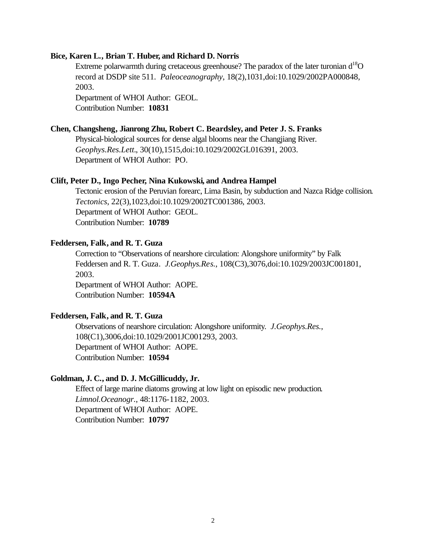#### **Bice, Karen L., Brian T. Huber, and Richard D. Norris**

Extreme polarwarmth during cretaceous greenhouse? The paradox of the later turonian  $d^{18}O$ record at DSDP site 511. *Paleoceanography*, 18(2),1031,doi:10.1029/2002PA000848, 2003.

Department of WHOI Author: GEOL. Contribution Number: **10831**

#### **Chen, Changsheng, Jianrong Zhu, Robert C. Beardsley, and Peter J. S. Franks**

Physical-biological sources for dense algal blooms near the Changjiang River. *Geophys.Res.Lett.*, 30(10),1515,doi:10.1029/2002GL016391, 2003. Department of WHOI Author: PO.

#### **Clift, Peter D., Ingo Pecher, Nina Kukowski, and Andrea Hampel**

Tectonic erosion of the Peruvian forearc, Lima Basin, by subduction and Nazca Ridge collision. *Tectonics*, 22(3),1023,doi:10.1029/2002TC001386, 2003. Department of WHOI Author: GEOL. Contribution Number: **10789**

#### **Feddersen, Falk, and R. T. Guza**

Correction to "Observations of nearshore circulation: Alongshore uniformity" by Falk Feddersen and R. T. Guza. *J.Geophys.Res.*, 108(C3),3076,doi:10.1029/2003JC001801, 2003. Department of WHOI Author: AOPE. Contribution Number: **10594A**

## **Feddersen, Falk, and R. T. Guza**

Observations of nearshore circulation: Alongshore uniformity. *J.Geophys.Res.*, 108(C1),3006,doi:10.1029/2001JC001293, 2003. Department of WHOI Author: AOPE. Contribution Number: **10594**

#### **Goldman, J. C., and D. J. McGillicuddy, Jr.**

Effect of large marine diatoms growing at low light on episodic new production. *Limnol.Oceanogr.*, 48:1176-1182, 2003. Department of WHOI Author: AOPE. Contribution Number: **10797**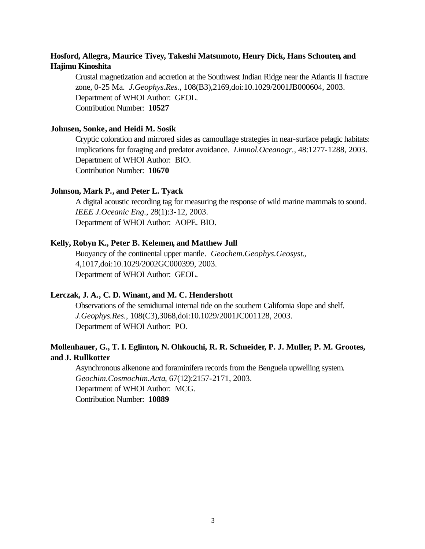## **Hosford, Allegra, Maurice Tivey, Takeshi Matsumoto, Henry Dick, Hans Schouten, and Hajimu Kinoshita**

Crustal magnetization and accretion at the Southwest Indian Ridge near the Atlantis II fracture zone, 0-25 Ma. *J.Geophys.Res.*, 108(B3),2169,doi:10.1029/2001JB000604, 2003. Department of WHOI Author: GEOL. Contribution Number: **10527**

#### **Johnsen, Sonke, and Heidi M. Sosik**

Cryptic coloration and mirrored sides as camouflage strategies in near-surface pelagic habitats: Implications for foraging and predator avoidance. *Limnol.Oceanogr.*, 48:1277-1288, 2003. Department of WHOI Author: BIO. Contribution Number: **10670**

#### **Johnson, Mark P., and Peter L. Tyack**

A digital acoustic recording tag for measuring the response of wild marine mammals to sound. *IEEE J.Oceanic Eng.*, 28(1):3-12, 2003. Department of WHOI Author: AOPE. BIO.

#### **Kelly, Robyn K., Peter B. Kelemen, and Matthew Jull**

Buoyancy of the continental upper mantle. *Geochem.Geophys.Geosyst.*, 4,1017,doi:10.1029/2002GC000399, 2003. Department of WHOI Author: GEOL.

#### **Lerczak, J. A., C. D. Winant, and M. C. Hendershott**

Observations of the semidiurnal internal tide on the southern California slope and shelf. *J.Geophys.Res.*, 108(C3),3068,doi:10.1029/2001JC001128, 2003. Department of WHOI Author: PO.

## **Mollenhauer, G., T. I. Eglinton, N. Ohkouchi, R. R. Schneider, P. J. Muller, P. M. Grootes, and J. Rullkotter**

Asynchronous alkenone and foraminifera records from the Benguela upwelling system. *Geochim.Cosmochim.Acta*, 67(12):2157-2171, 2003. Department of WHOI Author: MCG. Contribution Number: **10889**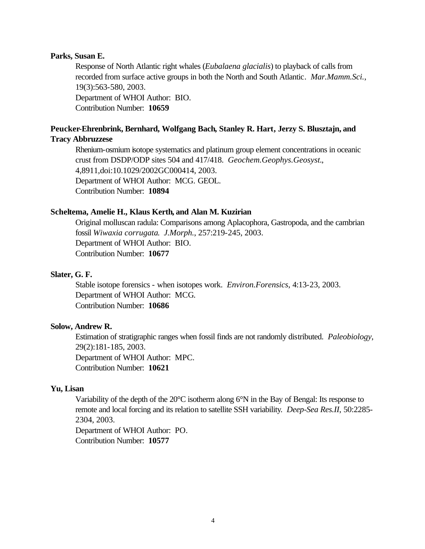#### **Parks, Susan E.**

Response of North Atlantic right whales (*Eubalaena glacialis*) to playback of calls from recorded from surface active groups in both the North and South Atlantic. *Mar.Mamm.Sci.*, 19(3):563-580, 2003. Department of WHOI Author: BIO. Contribution Number: **10659**

### **Peucker-Ehrenbrink, Bernhard, Wolfgang Bach, Stanley R. Hart, Jerzy S. Blusztajn, and Tracy Abbruzzese**

Rhenium-osmium isotope systematics and platinum group element concentrations in oceanic crust from DSDP/ODP sites 504 and 417/418. *Geochem.Geophys.Geosyst.*, 4,8911,doi:10.1029/2002GC000414, 2003. Department of WHOI Author: MCG. GEOL. Contribution Number: **10894**

#### **Scheltema, Amelie H., Klaus Kerth, and Alan M. Kuzirian**

Original molluscan radula: Comparisons among Aplacophora, Gastropoda, and the cambrian fossil *Wiwaxia corrugata*. *J.Morph.*, 257:219-245, 2003. Department of WHOI Author: BIO. Contribution Number: **10677**

#### **Slater, G. F.**

Stable isotope forensics - when isotopes work. *Environ.Forensics*, 4:13-23, 2003. Department of WHOI Author: MCG. Contribution Number: **10686**

#### **Solow, Andrew R.**

Estimation of stratigraphic ranges when fossil finds are not randomly distributed. *Paleobiology*, 29(2):181-185, 2003. Department of WHOI Author: MPC. Contribution Number: **10621**

### **Yu, Lisan**

Variability of the depth of the 20°C isotherm along 6°N in the Bay of Bengal: Its response to remote and local forcing and its relation to satellite SSH variability. *Deep-Sea Res.II*, 50:2285- 2304, 2003.

Department of WHOI Author: PO. Contribution Number: **10577**